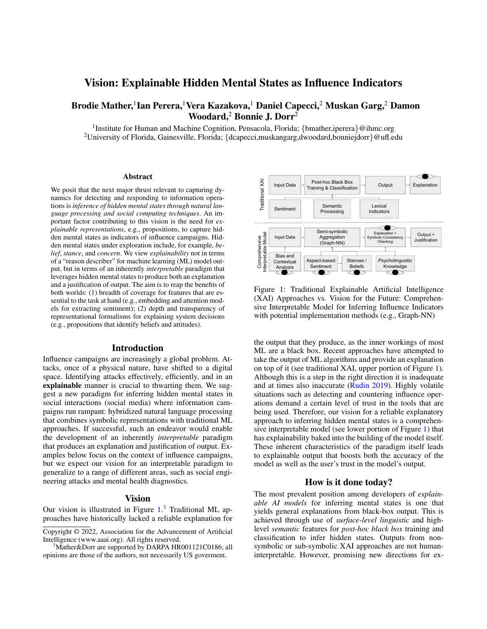# Vision: Explainable Hidden Mental States as Influence Indicators

# Brodie Mather,<sup>1</sup>Ian Perera,<sup>1</sup>Vera Kazakova,<sup>1</sup> Daniel Capecci,<sup>2</sup> Muskan Garg,<sup>2</sup> Damon Woodard,<sup>2</sup> Bonnie J. Dorr<sup>2</sup>

<sup>1</sup>Institute for Human and Machine Cognition, Pensacola, Florida; {bmather,iperera}@ihmc.org <sup>2</sup>University of Florida, Gainesville, Florida; {dcapecci,muskangarg,dwoodard,bonniejdorr}@ufl.edu

#### Abstract

We posit that the next major thrust relevant to capturing dynamics for detecting and responding to information operations is *inference of hidden mental states through natural language processing and social computing techniques*. An important factor contributing to this vision is the need for *explainable representations*, e.g., propositions, to capture hidden mental states as indicators of influence campaigns. Hidden mental states under exploration include, for example, *belief*, *stance*, and *concern*. We view *explainability* not in terms of a "reason describer" for machine learning (ML) model output, but in terms of an inherently *interpretable* paradigm that leverages hidden mental states to produce both an explanation and a justification of output. The aim is to reap the benefits of both worlds: (1) breadth of coverage for features that are essential to the task at hand (e.g., embedding and attention models for extracting sentiment); (2) depth and transparency of representational formalisms for explaining system decisions (e.g., propositions that identify beliefs and attitudes).

#### Introduction

Influence campaigns are increasingly a global problem. Attacks, once of a physical nature, have shifted to a digital space. Identifying attacks effectively, efficiently, and in an explainable manner is crucial to thwarting them. We suggest a new paradigm for inferring hidden mental states in social interactions (social media) where information campaigns run rampant: hybridized natural language processing that combines symbolic representations with traditional ML approaches. If successful, such an endeavor would enable the development of an inherently *interpretable* paradigm that produces an explanation and justification of output. Examples below focus on the context of influence campaigns, but we expect our vision for an interpretable paradigm to generalize to a range of different areas, such as social engineering attacks and mental health diagnostics.

### Vision

Our vision is illustrated in Figure [1.](#page-0-0)<sup>[3](#page-0-1)</sup> Traditional ML approaches have historically lacked a reliable explanation for

<span id="page-0-0"></span>

Figure 1: Traditional Explainable Artificial Intelligence (XAI) Approaches vs. Vision for the Future: Comprehensive Interpretable Model for Inferring Influence Indicators with potential implementation methods (e.g., Graph-NN)

the output that they produce, as the inner workings of most ML are a black box. Recent approaches have attempted to take the output of ML algorithms and provide an explanation on top of it (see traditional XAI, upper portion of Figure [1\)](#page-0-0). Although this is a step in the right direction it is inadequate and at times also inaccurate [\(Rudin 2019\)](https://doi.org/10.1038/s42256-019-0048-x). Highly volatile situations such as detecting and countering influence operations demand a certain level of trust in the tools that are being used. Therefore, our vision for a reliable explanatory approach to inferring hidden mental states is a comprehensive interpretable model (see lower portion of Figure [1\)](#page-0-0) that has explainability baked into the building of the model itself. These inherent characteristics of the paradigm itself leads to explainable output that boosts both the accuracy of the model as well as the user's trust in the model's output.

## How is it done today?

The most prevalent position among developers of *explainable AI models* for inferring mental states is one that yields general explanations from black-box output. This is achieved through use of *surface-level linguistic* and highlevel *semantic* features for *post-hoc black box* training and classification to infer hidden states. Outputs from nonsymbolic or sub-symbolic XAI approaches are not humaninterpretable. However, promising new directions for ex-

Copyright © 2022, Association for the Advancement of Artificial Intelligence (www.aaai.org). All rights reserved.

<span id="page-0-1"></span><sup>&</sup>lt;sup>3</sup>Mather&Dorr are supported by DARPA HR001121C0186; all opinions are those of the authors, not necessarily US goverment.